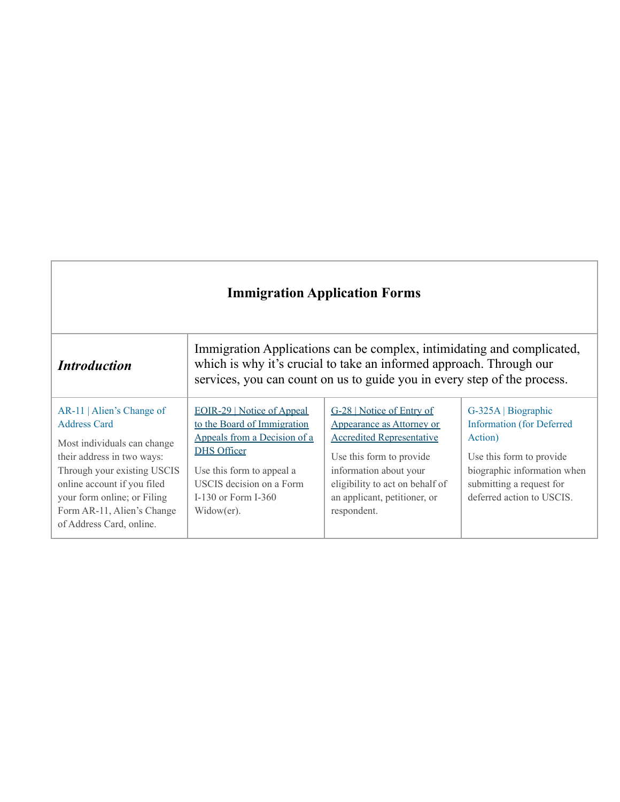| <b>Immigration Application Forms</b>                                                                                                                                                                                                                                 |                                                                                                                                                                                                                          |                                                                                                                                                                                                                                    |                                                                                                                                                                                        |
|----------------------------------------------------------------------------------------------------------------------------------------------------------------------------------------------------------------------------------------------------------------------|--------------------------------------------------------------------------------------------------------------------------------------------------------------------------------------------------------------------------|------------------------------------------------------------------------------------------------------------------------------------------------------------------------------------------------------------------------------------|----------------------------------------------------------------------------------------------------------------------------------------------------------------------------------------|
| <i><b>Introduction</b></i>                                                                                                                                                                                                                                           |                                                                                                                                                                                                                          | Immigration Applications can be complex, intimidating and complicated,<br>which is why it's crucial to take an informed approach. Through our<br>services, you can count on us to guide you in every step of the process.          |                                                                                                                                                                                        |
| AR-11   Alien's Change of<br><b>Address Card</b><br>Most individuals can change<br>their address in two ways:<br>Through your existing USCIS<br>online account if you filed<br>your form online; or Filing<br>Form AR-11, Alien's Change<br>of Address Card, online. | <b>EOIR-29</b>   Notice of Appeal<br>to the Board of Immigration<br>Appeals from a Decision of a<br><b>DHS Officer</b><br>Use this form to appeal a<br>USCIS decision on a Form<br>I-130 or Form I-360<br>$Window(er)$ . | G-28   Notice of Entry of<br>Appearance as Attorney or<br><b>Accredited Representative</b><br>Use this form to provide<br>information about your<br>eligibility to act on behalf of<br>an applicant, petitioner, or<br>respondent. | G-325A   Biographic<br><b>Information</b> (for Deferred<br>Action)<br>Use this form to provide<br>biographic information when<br>submitting a request for<br>deferred action to USCIS. |

J.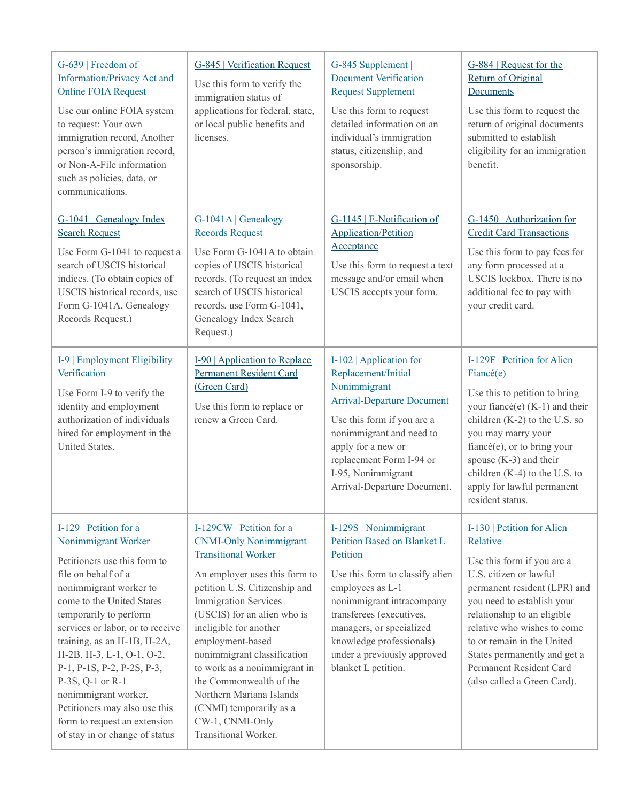| G-639   Freedom of<br><b>Information/Privacy Act and</b><br><b>Online FOIA Request</b><br>Use our online FOIA system<br>to request: Your own<br>immigration record, Another<br>person's immigration record,<br>or Non-A-File information<br>such as policies, data, or<br>communications.                                                                                                                                                                              | G-845   Verification Request<br>Use this form to verify the<br>immigration status of<br>applications for federal, state,<br>or local public benefits and<br>licenses.                                                                                                                                                                                                                                                                                             | G-845 Supplement<br><b>Document Verification</b><br><b>Request Supplement</b><br>Use this form to request<br>detailed information on an<br>individual's immigration<br>status, citizenship, and<br>sponsorship.                                                                                | G-884   Request for the<br><b>Return of Original</b><br>Documents<br>Use this form to request the<br>return of original documents<br>submitted to establish<br>eligibility for an immigration<br>benefit.                                                                                                                                          |
|------------------------------------------------------------------------------------------------------------------------------------------------------------------------------------------------------------------------------------------------------------------------------------------------------------------------------------------------------------------------------------------------------------------------------------------------------------------------|-------------------------------------------------------------------------------------------------------------------------------------------------------------------------------------------------------------------------------------------------------------------------------------------------------------------------------------------------------------------------------------------------------------------------------------------------------------------|------------------------------------------------------------------------------------------------------------------------------------------------------------------------------------------------------------------------------------------------------------------------------------------------|----------------------------------------------------------------------------------------------------------------------------------------------------------------------------------------------------------------------------------------------------------------------------------------------------------------------------------------------------|
| G-1041 Genealogy Index<br><b>Search Request</b><br>Use Form G-1041 to request a<br>search of USCIS historical<br>indices. (To obtain copies of<br>USCIS historical records, use<br>Form G-1041A, Genealogy<br>Records Request.)                                                                                                                                                                                                                                        | G-1041A   Genealogy<br><b>Records Request</b><br>Use Form G-1041A to obtain<br>copies of USCIS historical<br>records. (To request an index<br>search of USCIS historical<br>records, use Form G-1041,<br>Genealogy Index Search<br>Request.)                                                                                                                                                                                                                      | G-1145   E-Notification of<br><b>Application/Petition</b><br>Acceptance<br>Use this form to request a text<br>message and/or email when<br>USCIS accepts your form.                                                                                                                            | G-1450   Authorization for<br><b>Credit Card Transactions</b><br>Use this form to pay fees for<br>any form processed at a<br>USCIS lockbox. There is no<br>additional fee to pay with<br>your credit card.                                                                                                                                         |
| I-9   Employment Eligibility<br>Verification<br>Use Form I-9 to verify the<br>identity and employment<br>authorization of individuals<br>hired for employment in the<br>United States.                                                                                                                                                                                                                                                                                 | <b>I-90</b>   Application to Replace<br><b>Permanent Resident Card</b><br>(Green Card)<br>Use this form to replace or<br>renew a Green Card.                                                                                                                                                                                                                                                                                                                      | I-102   Application for<br>Replacement/Initial<br>Nonimmigrant<br><b>Arrival-Departure Document</b><br>Use this form if you are a<br>nonimmigrant and need to<br>apply for a new or<br>replacement Form I-94 or<br>I-95, Nonimmigrant<br>Arrival-Departure Document.                           | I-129F   Petition for Alien<br>Fiancé(e)<br>Use this to petition to bring<br>your fiancé(e) (K-1) and their<br>children $(K-2)$ to the U.S. so<br>you may marry your<br>fiancé(e), or to bring your<br>spouse $(K-3)$ and their<br>children (K-4) to the U.S. to<br>apply for lawful permanent<br>resident status.                                 |
| I-129   Petition for a<br>Nonimmigrant Worker<br>Petitioners use this form to<br>file on behalf of a<br>nonimmigrant worker to<br>come to the United States<br>temporarily to perform<br>services or labor, or to receive<br>training, as an H-1B, H-2A,<br>H-2B, H-3, L-1, O-1, O-2,<br>P-1, P-1S, P-2, P-2S, P-3,<br>$P-3S, Q-1$ or $R-1$<br>nonimmigrant worker.<br>Petitioners may also use this<br>form to request an extension<br>of stay in or change of status | I-129CW   Petition for a<br><b>CNMI-Only Nonimmigrant</b><br><b>Transitional Worker</b><br>An employer uses this form to<br>petition U.S. Citizenship and<br><b>Immigration Services</b><br>(USCIS) for an alien who is<br>ineligible for another<br>employment-based<br>nonimmigrant classification<br>to work as a nonimmigrant in<br>the Commonwealth of the<br>Northern Mariana Islands<br>(CNMI) temporarily as a<br>CW-1, CNMI-Only<br>Transitional Worker. | I-129S   Nonimmigrant<br>Petition Based on Blanket L<br>Petition<br>Use this form to classify alien<br>employees as L-1<br>nonimmigrant intracompany<br>transferees (executives,<br>managers, or specialized<br>knowledge professionals)<br>under a previously approved<br>blanket L petition. | I-130   Petition for Alien<br>Relative<br>Use this form if you are a<br>U.S. citizen or lawful<br>permanent resident (LPR) and<br>you need to establish your<br>relationship to an eligible<br>relative who wishes to come<br>to or remain in the United<br>States permanently and get a<br>Permanent Resident Card<br>(also called a Green Card). |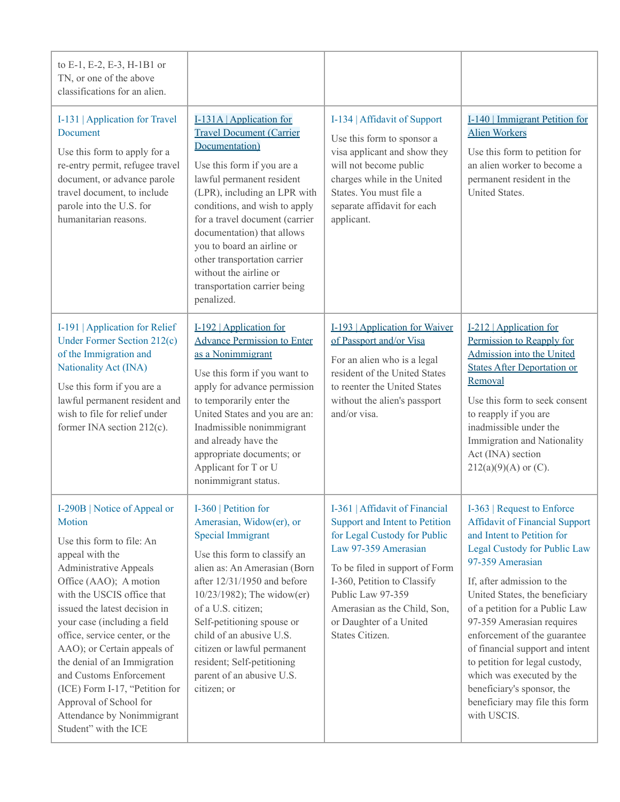| to E-1, E-2, E-3, H-1B1 or<br>TN, or one of the above<br>classifications for an alien.                                                                                                                                                                                                                                                                                                                                                                                                          |                                                                                                                                                                                                                                                                                                                                                                                                                 |                                                                                                                                                                                                                                                                                              |                                                                                                                                                                                                                                                                                                                                                                                                                                                                                                       |
|-------------------------------------------------------------------------------------------------------------------------------------------------------------------------------------------------------------------------------------------------------------------------------------------------------------------------------------------------------------------------------------------------------------------------------------------------------------------------------------------------|-----------------------------------------------------------------------------------------------------------------------------------------------------------------------------------------------------------------------------------------------------------------------------------------------------------------------------------------------------------------------------------------------------------------|----------------------------------------------------------------------------------------------------------------------------------------------------------------------------------------------------------------------------------------------------------------------------------------------|-------------------------------------------------------------------------------------------------------------------------------------------------------------------------------------------------------------------------------------------------------------------------------------------------------------------------------------------------------------------------------------------------------------------------------------------------------------------------------------------------------|
| I-131   Application for Travel<br>Document<br>Use this form to apply for a<br>re-entry permit, refugee travel<br>document, or advance parole<br>travel document, to include<br>parole into the U.S. for<br>humanitarian reasons.                                                                                                                                                                                                                                                                | I-131A   Application for<br><b>Travel Document (Carrier</b><br>Documentation)<br>Use this form if you are a<br>lawful permanent resident<br>(LPR), including an LPR with<br>conditions, and wish to apply<br>for a travel document (carrier<br>documentation) that allows<br>you to board an airline or<br>other transportation carrier<br>without the airline or<br>transportation carrier being<br>penalized. | I-134   Affidavit of Support<br>Use this form to sponsor a<br>visa applicant and show they<br>will not become public<br>charges while in the United<br>States. You must file a<br>separate affidavit for each<br>applicant.                                                                  | I-140   Immigrant Petition for<br><b>Alien Workers</b><br>Use this form to petition for<br>an alien worker to become a<br>permanent resident in the<br>United States.                                                                                                                                                                                                                                                                                                                                 |
| I-191   Application for Relief<br>Under Former Section 212(c)<br>of the Immigration and<br>Nationality Act (INA)<br>Use this form if you are a<br>lawful permanent resident and<br>wish to file for relief under<br>former INA section 212(c).                                                                                                                                                                                                                                                  | $I-192$   Application for<br><b>Advance Permission to Enter</b><br>as a Nonimmigrant<br>Use this form if you want to<br>apply for advance permission<br>to temporarily enter the<br>United States and you are an:<br>Inadmissible nonimmigrant<br>and already have the<br>appropriate documents; or<br>Applicant for T or U<br>nonimmigrant status.                                                             | I-193   Application for Waiver<br>of Passport and/or Visa<br>For an alien who is a legal<br>resident of the United States<br>to reenter the United States<br>without the alien's passport<br>and/or visa.                                                                                    | I-212   Application for<br>Permission to Reapply for<br>Admission into the United<br><b>States After Deportation or</b><br>Removal<br>Use this form to seek consent<br>to reapply if you are<br>inadmissible under the<br>Immigration and Nationality<br>Act (INA) section<br>$212(a)(9)(A)$ or (C).                                                                                                                                                                                                  |
| I-290B   Notice of Appeal or<br>Motion<br>Use this form to file: An<br>appeal with the<br><b>Administrative Appeals</b><br>Office (AAO); A motion<br>with the USCIS office that<br>issued the latest decision in<br>your case (including a field<br>office, service center, or the<br>AAO); or Certain appeals of<br>the denial of an Immigration<br>and Customs Enforcement<br>(ICE) Form I-17, "Petition for<br>Approval of School for<br>Attendance by Nonimmigrant<br>Student" with the ICE | I-360   Petition for<br>Amerasian, Widow(er), or<br><b>Special Immigrant</b><br>Use this form to classify an<br>alien as: An Amerasian (Born<br>after $12/31/1950$ and before<br>$10/23/1982$ ; The widow(er)<br>of a U.S. citizen;<br>Self-petitioning spouse or<br>child of an abusive U.S.<br>citizen or lawful permanent<br>resident; Self-petitioning<br>parent of an abusive U.S.<br>citizen; or          | I-361   Affidavit of Financial<br>Support and Intent to Petition<br>for Legal Custody for Public<br>Law 97-359 Amerasian<br>To be filed in support of Form<br>I-360, Petition to Classify<br>Public Law 97-359<br>Amerasian as the Child, Son,<br>or Daughter of a United<br>States Citizen. | I-363   Request to Enforce<br><b>Affidavit of Financial Support</b><br>and Intent to Petition for<br>Legal Custody for Public Law<br>97-359 Amerasian<br>If, after admission to the<br>United States, the beneficiary<br>of a petition for a Public Law<br>97-359 Amerasian requires<br>enforcement of the guarantee<br>of financial support and intent<br>to petition for legal custody,<br>which was executed by the<br>beneficiary's sponsor, the<br>beneficiary may file this form<br>with USCIS. |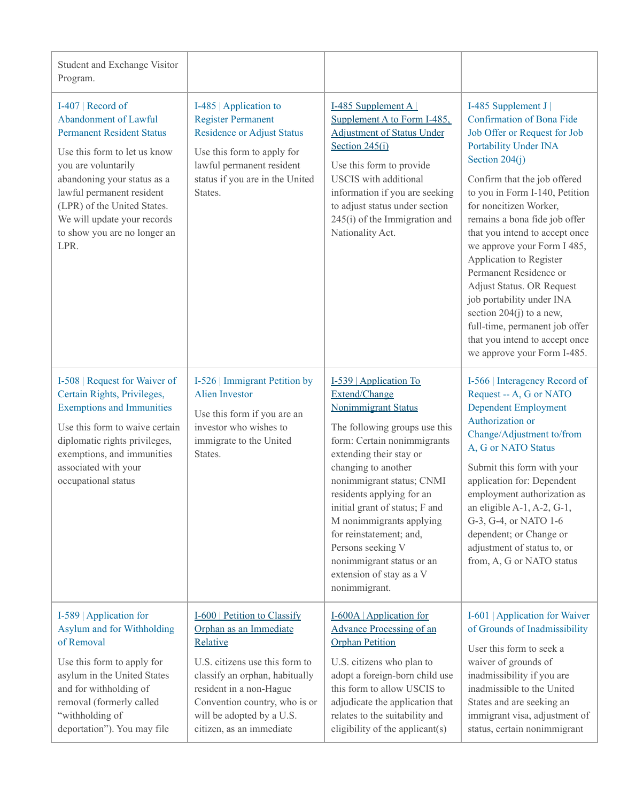| Student and Exchange Visitor<br>Program.                                                                                                                                                                                                                                                                |                                                                                                                                                                                                                                                             |                                                                                                                                                                                                                                                                                                                                                                                                                                           |                                                                                                                                                                                                                                                                                                                                                                                                                                                                                                                                                                            |
|---------------------------------------------------------------------------------------------------------------------------------------------------------------------------------------------------------------------------------------------------------------------------------------------------------|-------------------------------------------------------------------------------------------------------------------------------------------------------------------------------------------------------------------------------------------------------------|-------------------------------------------------------------------------------------------------------------------------------------------------------------------------------------------------------------------------------------------------------------------------------------------------------------------------------------------------------------------------------------------------------------------------------------------|----------------------------------------------------------------------------------------------------------------------------------------------------------------------------------------------------------------------------------------------------------------------------------------------------------------------------------------------------------------------------------------------------------------------------------------------------------------------------------------------------------------------------------------------------------------------------|
| I-407   Record of<br>Abandonment of Lawful<br><b>Permanent Resident Status</b><br>Use this form to let us know<br>you are voluntarily<br>abandoning your status as a<br>lawful permanent resident<br>(LPR) of the United States.<br>We will update your records<br>to show you are no longer an<br>LPR. | I-485   Application to<br><b>Register Permanent</b><br><b>Residence or Adjust Status</b><br>Use this form to apply for<br>lawful permanent resident<br>status if you are in the United<br>States.                                                           | I-485 Supplement A<br>Supplement A to Form I-485,<br><b>Adjustment of Status Under</b><br>Section 245(i)<br>Use this form to provide<br><b>USCIS</b> with additional<br>information if you are seeking<br>to adjust status under section<br>$245(i)$ of the Immigration and<br>Nationality Act.                                                                                                                                           | I-485 Supplement J<br>Confirmation of Bona Fide<br>Job Offer or Request for Job<br>Portability Under INA<br>Section $204(i)$<br>Confirm that the job offered<br>to you in Form I-140, Petition<br>for noncitizen Worker,<br>remains a bona fide job offer<br>that you intend to accept once<br>we approve your Form I 485,<br>Application to Register<br>Permanent Residence or<br>Adjust Status. OR Request<br>job portability under INA<br>section $204(j)$ to a new,<br>full-time, permanent job offer<br>that you intend to accept once<br>we approve your Form I-485. |
| I-508   Request for Waiver of<br>Certain Rights, Privileges,<br><b>Exemptions and Immunities</b><br>Use this form to waive certain<br>diplomatic rights privileges,<br>exemptions, and immunities<br>associated with your<br>occupational status                                                        | I-526   Immigrant Petition by<br><b>Alien Investor</b><br>Use this form if you are an<br>investor who wishes to<br>immigrate to the United<br>States.                                                                                                       | I-539   Application To<br>Extend/Change<br><b>Nonimmigrant Status</b><br>The following groups use this<br>form: Certain nonimmigrants<br>extending their stay or<br>changing to another<br>nonimmigrant status; CNMI<br>residents applying for an<br>initial grant of status; F and<br>M nonimmigrants applying<br>for reinstatement; and,<br>Persons seeking V<br>nonimmigrant status or an<br>extension of stay as a V<br>nonimmigrant. | I-566   Interagency Record of<br>Request -- A, G or NATO<br><b>Dependent Employment</b><br>Authorization or<br>Change/Adjustment to/from<br>A, G or NATO Status<br>Submit this form with your<br>application for: Dependent<br>employment authorization as<br>an eligible A-1, A-2, G-1,<br>G-3, G-4, or NATO 1-6<br>dependent; or Change or<br>adjustment of status to, or<br>from, A, G or NATO status                                                                                                                                                                   |
| I-589   Application for<br>Asylum and for Withholding<br>of Removal<br>Use this form to apply for<br>asylum in the United States<br>and for withholding of<br>removal (formerly called<br>"withholding of<br>deportation"). You may file                                                                | I-600   Petition to Classify<br>Orphan as an Immediate<br>Relative<br>U.S. citizens use this form to<br>classify an orphan, habitually<br>resident in a non-Hague<br>Convention country, who is or<br>will be adopted by a U.S.<br>citizen, as an immediate | I-600A   Application for<br><b>Advance Processing of an</b><br><b>Orphan Petition</b><br>U.S. citizens who plan to<br>adopt a foreign-born child use<br>this form to allow USCIS to<br>adjudicate the application that<br>relates to the suitability and<br>eligibility of the applicant(s)                                                                                                                                               | I-601   Application for Waiver<br>of Grounds of Inadmissibility<br>User this form to seek a<br>waiver of grounds of<br>inadmissibility if you are<br>inadmissible to the United<br>States and are seeking an<br>immigrant visa, adjustment of<br>status, certain nonimmigrant                                                                                                                                                                                                                                                                                              |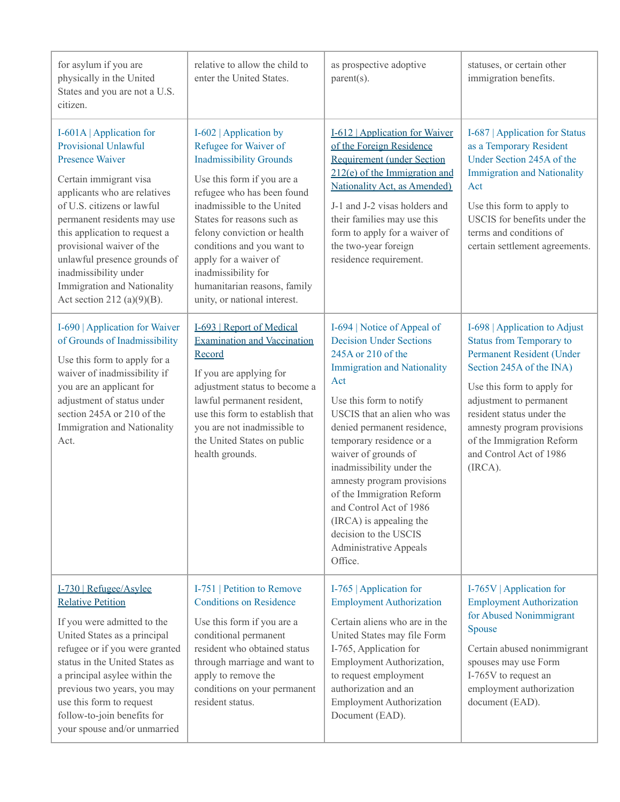| for asylum if you are<br>physically in the United<br>States and you are not a U.S.<br>citizen.                                                                                                                                                                                                                                                                                            | relative to allow the child to<br>enter the United States.                                                                                                                                                                                                                                                                                                                             | as prospective adoptive<br>$parent(s)$ .                                                                                                                                                                                                                                                                                                                                                                                                                                                         | statuses, or certain other<br>immigration benefits.                                                                                                                                                                                                                                                              |
|-------------------------------------------------------------------------------------------------------------------------------------------------------------------------------------------------------------------------------------------------------------------------------------------------------------------------------------------------------------------------------------------|----------------------------------------------------------------------------------------------------------------------------------------------------------------------------------------------------------------------------------------------------------------------------------------------------------------------------------------------------------------------------------------|--------------------------------------------------------------------------------------------------------------------------------------------------------------------------------------------------------------------------------------------------------------------------------------------------------------------------------------------------------------------------------------------------------------------------------------------------------------------------------------------------|------------------------------------------------------------------------------------------------------------------------------------------------------------------------------------------------------------------------------------------------------------------------------------------------------------------|
| I-601A   Application for<br>Provisional Unlawful<br><b>Presence Waiver</b><br>Certain immigrant visa<br>applicants who are relatives<br>of U.S. citizens or lawful<br>permanent residents may use<br>this application to request a<br>provisional waiver of the<br>unlawful presence grounds of<br>inadmissibility under<br>Immigration and Nationality<br>Act section 212 (a) $(9)(B)$ . | I-602   Application by<br>Refugee for Waiver of<br><b>Inadmissibility Grounds</b><br>Use this form if you are a<br>refugee who has been found<br>inadmissible to the United<br>States for reasons such as<br>felony conviction or health<br>conditions and you want to<br>apply for a waiver of<br>inadmissibility for<br>humanitarian reasons, family<br>unity, or national interest. | I-612   Application for Waiver<br>of the Foreign Residence<br><b>Requirement (under Section</b><br>$212(e)$ of the Immigration and<br>Nationality Act, as Amended)<br>J-1 and J-2 visas holders and<br>their families may use this<br>form to apply for a waiver of<br>the two-year foreign<br>residence requirement.                                                                                                                                                                            | I-687   Application for Status<br>as a Temporary Resident<br>Under Section 245A of the<br><b>Immigration and Nationality</b><br>Act<br>Use this form to apply to<br>USCIS for benefits under the<br>terms and conditions of<br>certain settlement agreements.                                                    |
| I-690   Application for Waiver<br>of Grounds of Inadmissibility<br>Use this form to apply for a<br>waiver of inadmissibility if<br>you are an applicant for<br>adjustment of status under<br>section 245A or 210 of the<br>Immigration and Nationality<br>Act.                                                                                                                            | I-693   Report of Medical<br><b>Examination and Vaccination</b><br>Record<br>If you are applying for<br>adjustment status to become a<br>lawful permanent resident,<br>use this form to establish that<br>you are not inadmissible to<br>the United States on public<br>health grounds.                                                                                                | I-694   Notice of Appeal of<br><b>Decision Under Sections</b><br>245A or 210 of the<br><b>Immigration and Nationality</b><br>Act<br>Use this form to notify<br>USCIS that an alien who was<br>denied permanent residence,<br>temporary residence or a<br>waiver of grounds of<br>inadmissibility under the<br>amnesty program provisions<br>of the Immigration Reform<br>and Control Act of 1986<br>(IRCA) is appealing the<br>decision to the USCIS<br><b>Administrative Appeals</b><br>Office. | I-698   Application to Adjust<br><b>Status from Temporary to</b><br>Permanent Resident (Under<br>Section 245A of the INA)<br>Use this form to apply for<br>adjustment to permanent<br>resident status under the<br>amnesty program provisions<br>of the Immigration Reform<br>and Control Act of 1986<br>(IRCA). |
| I-730   Refugee/Asylee<br><b>Relative Petition</b><br>If you were admitted to the<br>United States as a principal<br>refugee or if you were granted<br>status in the United States as<br>a principal asylee within the<br>previous two years, you may<br>use this form to request<br>follow-to-join benefits for<br>your spouse and/or unmarried                                          | I-751   Petition to Remove<br><b>Conditions on Residence</b><br>Use this form if you are a<br>conditional permanent<br>resident who obtained status<br>through marriage and want to<br>apply to remove the<br>conditions on your permanent<br>resident status.                                                                                                                         | I-765   Application for<br><b>Employment Authorization</b><br>Certain aliens who are in the<br>United States may file Form<br>I-765, Application for<br>Employment Authorization,<br>to request employment<br>authorization and an<br><b>Employment Authorization</b><br>Document (EAD).                                                                                                                                                                                                         | I-765V   Application for<br><b>Employment Authorization</b><br>for Abused Nonimmigrant<br>Spouse<br>Certain abused nonimmigrant<br>spouses may use Form<br>I-765V to request an<br>employment authorization<br>document (EAD).                                                                                   |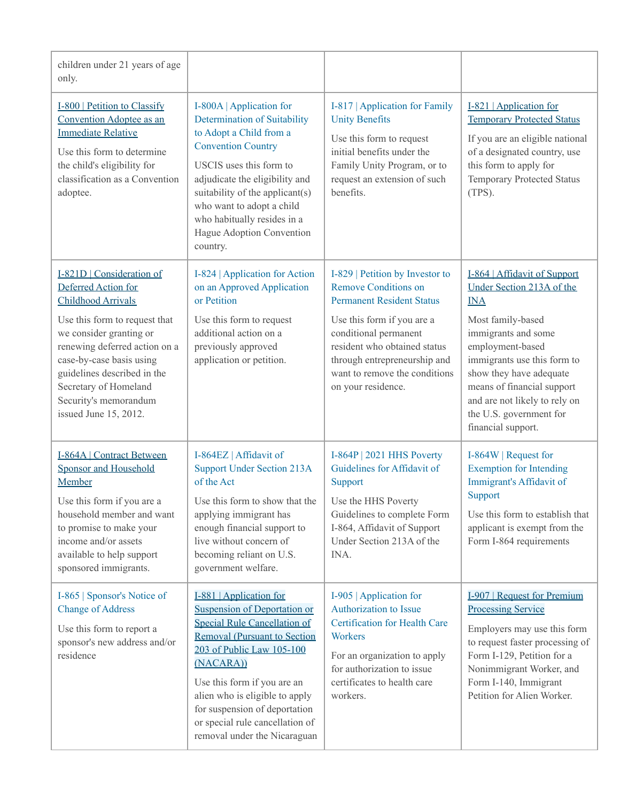| children under 21 years of age<br>only.                                                                                                                                                                                                        |                                                                                                                                                                                                                                                                                                                                                             |                                                                                                                                                                                                        |                                                                                                                                                                                                                                                    |
|------------------------------------------------------------------------------------------------------------------------------------------------------------------------------------------------------------------------------------------------|-------------------------------------------------------------------------------------------------------------------------------------------------------------------------------------------------------------------------------------------------------------------------------------------------------------------------------------------------------------|--------------------------------------------------------------------------------------------------------------------------------------------------------------------------------------------------------|----------------------------------------------------------------------------------------------------------------------------------------------------------------------------------------------------------------------------------------------------|
| <b>I-800</b>   Petition to Classify<br>Convention Adoptee as an<br><b>Immediate Relative</b><br>Use this form to determine<br>the child's eligibility for<br>classification as a Convention<br>adoptee.                                        | I-800A   Application for<br>Determination of Suitability<br>to Adopt a Child from a<br><b>Convention Country</b><br>USCIS uses this form to<br>adjudicate the eligibility and<br>suitability of the applicant(s)<br>who want to adopt a child<br>who habitually resides in a<br>Hague Adoption Convention<br>country.                                       | I-817   Application for Family<br><b>Unity Benefits</b><br>Use this form to request<br>initial benefits under the<br>Family Unity Program, or to<br>request an extension of such<br>benefits.          | I-821   Application for<br><b>Temporary Protected Status</b><br>If you are an eligible national<br>of a designated country, use<br>this form to apply for<br>Temporary Protected Status<br>(TPS).                                                  |
| I-821D   Consideration of<br>Deferred Action for<br><b>Childhood Arrivals</b>                                                                                                                                                                  | I-824   Application for Action<br>on an Approved Application<br>or Petition                                                                                                                                                                                                                                                                                 | I-829   Petition by Investor to<br><b>Remove Conditions on</b><br><b>Permanent Resident Status</b>                                                                                                     | I-864   Affidavit of Support<br>Under Section 213A of the<br><b>INA</b>                                                                                                                                                                            |
| Use this form to request that<br>we consider granting or<br>renewing deferred action on a<br>case-by-case basis using<br>guidelines described in the<br>Secretary of Homeland<br>Security's memorandum<br>issued June 15, 2012.                | Use this form to request<br>additional action on a<br>previously approved<br>application or petition.                                                                                                                                                                                                                                                       | Use this form if you are a<br>conditional permanent<br>resident who obtained status<br>through entrepreneurship and<br>want to remove the conditions<br>on your residence.                             | Most family-based<br>immigrants and some<br>employment-based<br>immigrants use this form to<br>show they have adequate<br>means of financial support<br>and are not likely to rely on<br>the U.S. government for<br>financial support.             |
| <b>I-864A   Contract Between</b><br><b>Sponsor and Household</b><br>Member<br>Use this form if you are a<br>household member and want<br>to promise to make your<br>income and/or assets<br>available to help support<br>sponsored immigrants. | I-864EZ   Affidavit of<br><b>Support Under Section 213A</b><br>of the Act<br>Use this form to show that the<br>applying immigrant has<br>enough financial support to<br>live without concern of<br>becoming reliant on U.S.<br>government welfare.                                                                                                          | I-864P   2021 HHS Poverty<br>Guidelines for Affidavit of<br>Support<br>Use the HHS Poverty<br>Guidelines to complete Form<br>I-864, Affidavit of Support<br>Under Section 213A of the<br>INA.          | I-864W   Request for<br><b>Exemption for Intending</b><br>Immigrant's Affidavit of<br>Support<br>Use this form to establish that<br>applicant is exempt from the<br>Form I-864 requirements                                                        |
| I-865   Sponsor's Notice of<br><b>Change of Address</b><br>Use this form to report a<br>sponsor's new address and/or<br>residence                                                                                                              | I-881   Application for<br><b>Suspension of Deportation or</b><br><b>Special Rule Cancellation of</b><br><b>Removal (Pursuant to Section</b><br>203 of Public Law 105-100<br>(NACARA))<br>Use this form if you are an<br>alien who is eligible to apply<br>for suspension of deportation<br>or special rule cancellation of<br>removal under the Nicaraguan | I-905   Application for<br>Authorization to Issue<br>Certification for Health Care<br>Workers<br>For an organization to apply<br>for authorization to issue<br>certificates to health care<br>workers. | <b>I-907</b>   Request for Premium<br><b>Processing Service</b><br>Employers may use this form<br>to request faster processing of<br>Form I-129, Petition for a<br>Nonimmigrant Worker, and<br>Form I-140, Immigrant<br>Petition for Alien Worker. |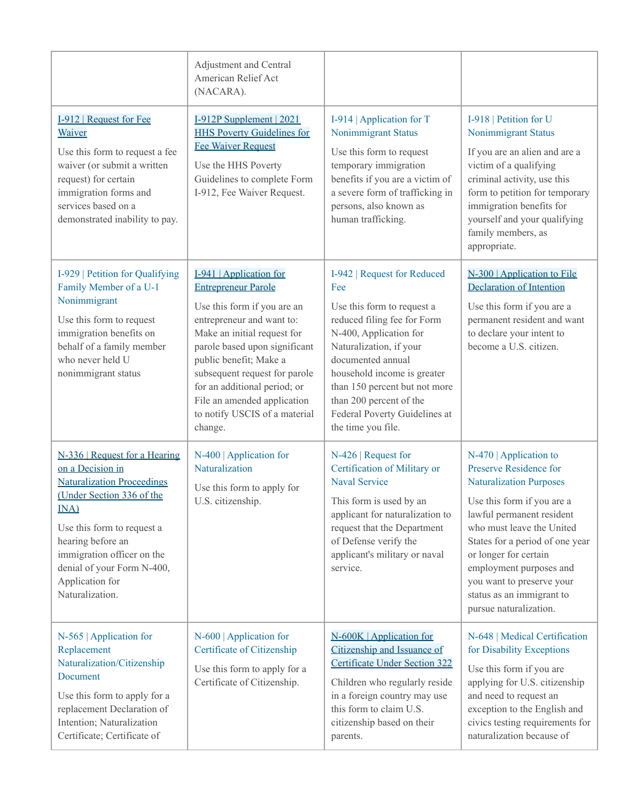|                                                                                                                                                                                                                                                                                  | Adjustment and Central<br>American Relief Act<br>(NACARA).                                                                                                                                                                                                                                                                                              |                                                                                                                                                                                                                                                                                                                             |                                                                                                                                                                                                                                                                                                                                                         |
|----------------------------------------------------------------------------------------------------------------------------------------------------------------------------------------------------------------------------------------------------------------------------------|---------------------------------------------------------------------------------------------------------------------------------------------------------------------------------------------------------------------------------------------------------------------------------------------------------------------------------------------------------|-----------------------------------------------------------------------------------------------------------------------------------------------------------------------------------------------------------------------------------------------------------------------------------------------------------------------------|---------------------------------------------------------------------------------------------------------------------------------------------------------------------------------------------------------------------------------------------------------------------------------------------------------------------------------------------------------|
| I-912   Request for Fee<br>Waiver<br>Use this form to request a fee<br>waiver (or submit a written<br>request) for certain<br>immigration forms and<br>services based on a<br>demonstrated inability to pay.                                                                     | I-912P Supplement   2021<br><b>HHS Poverty Guidelines for</b><br><b>Fee Waiver Request</b><br>Use the HHS Poverty<br>Guidelines to complete Form<br>I-912, Fee Waiver Request.                                                                                                                                                                          | I-914   Application for T<br>Nonimmigrant Status<br>Use this form to request<br>temporary immigration<br>benefits if you are a victim of<br>a severe form of trafficking in<br>persons, also known as<br>human trafficking.                                                                                                 | I-918   Petition for U<br>Nonimmigrant Status<br>If you are an alien and are a<br>victim of a qualifying<br>criminal activity, use this<br>form to petition for temporary<br>immigration benefits for<br>yourself and your qualifying<br>family members, as<br>appropriate.                                                                             |
| I-929   Petition for Qualifying<br>Family Member of a U-1<br>Nonimmigrant<br>Use this form to request<br>immigration benefits on<br>behalf of a family member<br>who never held U<br>nonimmigrant status                                                                         | I-941   Application for<br><b>Entrepreneur Parole</b><br>Use this form if you are an<br>entrepreneur and want to:<br>Make an initial request for<br>parole based upon significant<br>public benefit; Make a<br>subsequent request for parole<br>for an additional period; or<br>File an amended application<br>to notify USCIS of a material<br>change. | I-942   Request for Reduced<br>Fee<br>Use this form to request a<br>reduced filing fee for Form<br>N-400, Application for<br>Naturalization, if your<br>documented annual<br>household income is greater<br>than 150 percent but not more<br>than 200 percent of the<br>Federal Poverty Guidelines at<br>the time you file. | N-300   Application to File<br><b>Declaration of Intention</b><br>Use this form if you are a<br>permanent resident and want<br>to declare your intent to<br>become a U.S. citizen.                                                                                                                                                                      |
| N-336   Request for a Hearing<br>on a Decision in<br><b>Naturalization Proceedings</b><br>(Under Section 336 of the<br>INA)<br>Use this form to request a<br>hearing before an<br>immigration officer on the<br>denial of your Form N-400,<br>Application for<br>Naturalization. | $N-400$   Application for<br>Naturalization<br>Use this form to apply for<br>U.S. citizenship.                                                                                                                                                                                                                                                          | $N-426$   Request for<br>Certification of Military or<br><b>Naval Service</b><br>This form is used by an<br>applicant for naturalization to<br>request that the Department<br>of Defense verify the<br>applicant's military or naval<br>service.                                                                            | $N-470$   Application to<br>Preserve Residence for<br><b>Naturalization Purposes</b><br>Use this form if you are a<br>lawful permanent resident<br>who must leave the United<br>States for a period of one year<br>or longer for certain<br>employment purposes and<br>you want to preserve your<br>status as an immigrant to<br>pursue naturalization. |
| $N-565$   Application for<br>Replacement<br>Naturalization/Citizenship<br>Document<br>Use this form to apply for a<br>replacement Declaration of<br>Intention; Naturalization<br>Certificate; Certificate of                                                                     | $N-600$   Application for<br>Certificate of Citizenship<br>Use this form to apply for a<br>Certificate of Citizenship.                                                                                                                                                                                                                                  | N-600K   Application for<br>Citizenship and Issuance of<br><b>Certificate Under Section 322</b><br>Children who regularly reside<br>in a foreign country may use<br>this form to claim U.S.<br>citizenship based on their<br>parents.                                                                                       | N-648   Medical Certification<br>for Disability Exceptions<br>Use this form if you are<br>applying for U.S. citizenship<br>and need to request an<br>exception to the English and<br>civics testing requirements for<br>naturalization because of                                                                                                       |